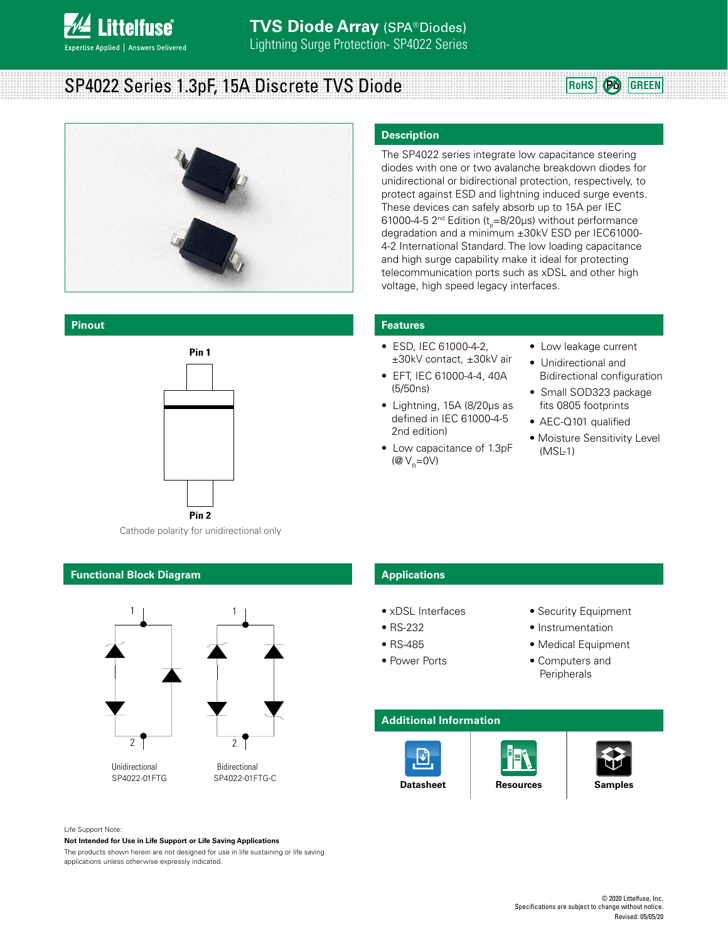

## SP4022 Series 1.3pF, 15A Discrete TVS Diode **Rouse CONS ROHS Pb** GREEN





**Pinout**



Cathode polarity for unidirectional only

## **Functional Block Diagram**



Unidirectional Bidirectional<br>SP4022-01FTG SP4022-01F

SP4022-01FTG-C

## **Description**

The SP4022 series integrate low capacitance steering diodes with one or two avalanche breakdown diodes for unidirectional or bidirectional protection, respectively, to protect against ESD and lightning induced surge events. These devices can safely absorb up to 15A per IEC 61000-4-5 2<sup>nd</sup> Edition (t<sub>p</sub>=8/20μs) without performance degradation and a minimum ±30kV ESD per IEC61000- 4-2 International Standard. The low loading capacitance and high surge capability make it ideal for protecting telecommunication ports such as xDSL and other high voltage, high speed legacy interfaces.

### **Features**

- ESD, IEC 61000-4-2, ±30kV contact, ±30kV air
- EFT, IEC 61000-4-4, 40A (5/50ns)
- Lightning, 15A (8/20μs as defined in IEC 61000-4-5 2nd edition)
- Low capacitance of 1.3pF ( $\omega_{\rm R}$ =0V)
- Low leakage current
- Unidirectional and Bidirectional configuration
- Small SOD323 package fits 0805 footprints
- AEC-Q101 qualified
- Moisture Sensitivity Level (MSL-1)

## **Applications**

- xDSL Interfaces
- RS-232
- RS-485
- Power Ports
- Security Equipment
- Instrumentation
- Medical Equipment
- Computers and **Peripherals**

## **Additional Information**





Life Support Note:

**Not Intended for Use in Life Support or Life Saving Applications**

The products shown herein are not designed for use in life sustaining or life saving applications unless otherwise expressly indicated.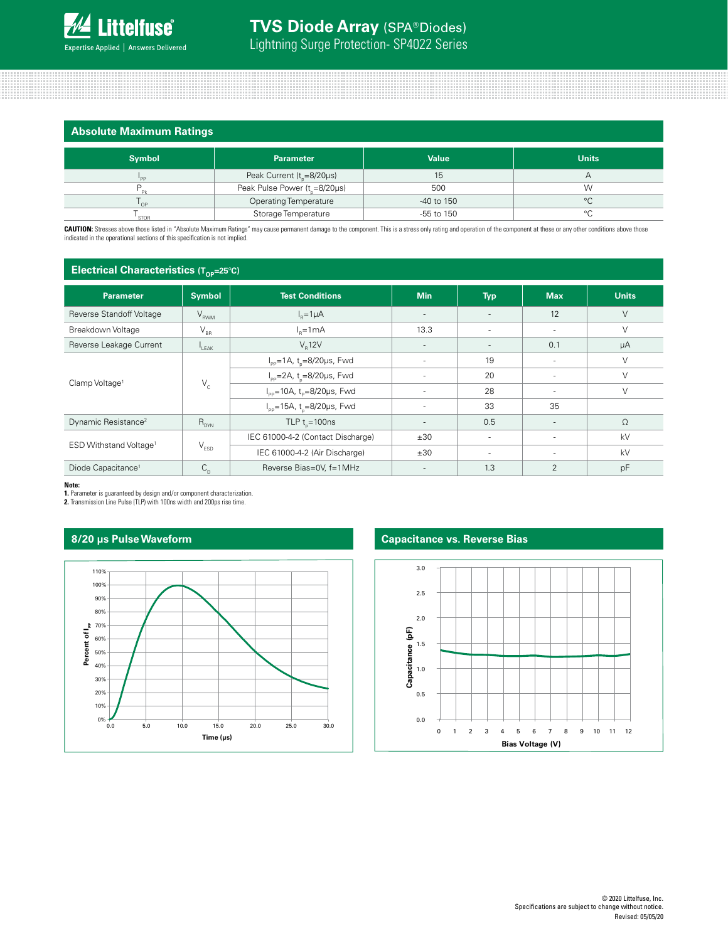|  | <b>Absolute Maximum Ratings</b> |  |
|--|---------------------------------|--|
|  |                                 |  |

| .             |                                              |              |              |
|---------------|----------------------------------------------|--------------|--------------|
| <b>Symbol</b> | <b>Parameter</b>                             | <b>Value</b> | <b>Units</b> |
| <b>DD</b>     | Peak Current ( $t_{\text{e}} = 8/20 \mu s$ ) |              |              |
|               | Peak Pulse Power $(t_{0} = 8/20 \mu s)$      | 500          | W            |
| OP            | <b>Operating Temperature</b>                 | -40 to 150   | $\circ$      |
| <b>STOR</b>   | Storage Temperature                          | -55 to 150   | $\circ$      |

CAUTION: Stresses above those listed in "Absolute Maximum Ratings" may cause permanent damage to the component. This is a stress only rating and operation of the component at these or any other conditions above those indicated in the operational sections of this specification is not implied.

| Electrical Characteristics (Top=25°C)                                  |                             |                                                                                    |                          |                          |            |              |
|------------------------------------------------------------------------|-----------------------------|------------------------------------------------------------------------------------|--------------------------|--------------------------|------------|--------------|
| <b>Parameter</b>                                                       | <b>Symbol</b>               | <b>Test Conditions</b>                                                             | <b>Min</b>               | <b>Typ</b>               | <b>Max</b> | <b>Units</b> |
| Reverse Standoff Voltage                                               | $\rm V_{_{RWM}}$            | $In=1\mu A$                                                                        | $\overline{\phantom{a}}$ | $\overline{\phantom{a}}$ | 12         | $\vee$       |
| Breakdown Voltage                                                      | $\mathsf{V}_{\texttt{BR}}$  | $Ie=1mA$                                                                           | 13.3                     | ٠                        | ٠          | V            |
| Reverse Leakage Current                                                | $I_{\parallel$ FAK          | $V_{p}12V$                                                                         | ٠.                       | $\overline{\phantom{a}}$ | 0.1        | μA           |
| $V_c$<br>Clamp Voltage <sup>1</sup>                                    |                             | $I_{\text{pp}}$ =1A, t <sub>n</sub> =8/20µs, Fwd                                   | ۰                        | 19                       | ٠          | $\vee$       |
|                                                                        |                             | $I_{pp} = 2A$ , t <sub>o</sub> =8/20µs, Fwd                                        | ٠                        | 20                       | $\sim$     | $\vee$       |
|                                                                        |                             | $I_{\text{pp}}$ =10A, t <sub>p</sub> =8/20µs, Fwd                                  | ۰                        | 28                       | $\sim$     | $\vee$       |
|                                                                        |                             | $I_{\text{pp}}$ =15A, t <sub>n</sub> =8/20µs, Fwd                                  | ÷                        | 33                       | 35         |              |
| TLP $t_{\circ}$ =100ns<br>Dynamic Resistance <sup>2</sup><br>$R_{DYN}$ |                             | $\overline{\phantom{a}}$                                                           | 0.5                      | $\overline{\phantom{a}}$ | $\Omega$   |              |
|                                                                        |                             | IEC 61000-4-2 (Contact Discharge)                                                  | ±30                      | $\overline{\phantom{a}}$ | $\sim$     | kV           |
| ESD Withstand Voltage <sup>1</sup>                                     | $\mathsf{V}_{\texttt{ESD}}$ | IEC 61000-4-2 (Air Discharge)                                                      | ±30                      | ٠                        | $\sim$     | kV           |
| Diode Capacitance <sup>1</sup>                                         | $C_{\rm D}$                 | Reverse Bias=0V, f=1MHz<br>$\overline{2}$<br>1.3<br>pF<br>$\overline{\phantom{a}}$ |                          |                          |            |              |

**Note:**

**1.** Parameter is guaranteed by design and/or component characterization. **2.** Transmission Line Pulse (TLP) with 100ns width and 200ps rise time.



## **8/20 µs Pulse Waveform Capacitance vs. Reverse Bias**

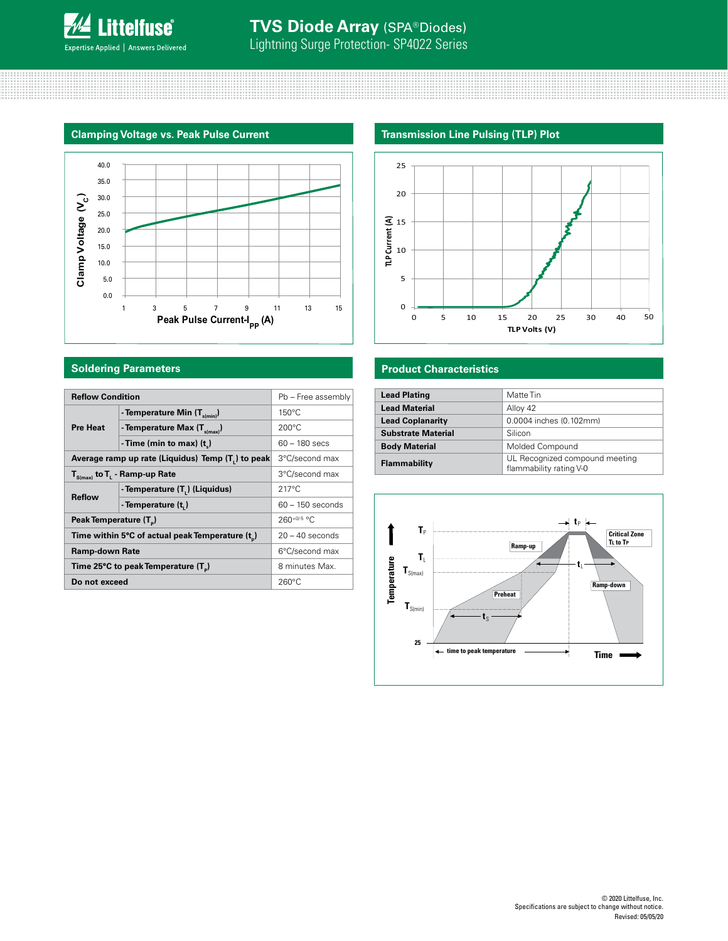



| <b>Reflow Condition</b>                         | Pb - Free assembly                                             |                    |
|-------------------------------------------------|----------------------------------------------------------------|--------------------|
|                                                 | - Temperature Min $(T_{s(min)})$                               | $150^{\circ}$ C    |
| <b>Pre Heat</b>                                 | - Temperature Max $(T_{s(max)})$                               | $200^{\circ}$ C    |
|                                                 | - Time (min to max) $(t_1)$                                    | $60 - 180$ secs    |
|                                                 | Average ramp up rate (Liquidus) Temp (T <sub>1</sub> ) to peak | 3°C/second max     |
| $T_{\text{S(max)}}$ to $T_{L}$ - Ramp-up Rate   | 3°C/second max                                                 |                    |
| <b>Reflow</b>                                   | - Temperature (T.) (Liquidus)                                  | $217^{\circ}$ C    |
|                                                 | - Temperature (t.)                                             | $60 - 150$ seconds |
| Peak Temperature (T <sub>n</sub> )              | $260^{+0/5}$ °C                                                |                    |
| Time within 5°C of actual peak Temperature (t)  | $20 - 40$ seconds                                              |                    |
| <b>Ramp-down Rate</b>                           | 6°C/second max                                                 |                    |
| Time 25°C to peak Temperature (T <sub>a</sub> ) |                                                                | 8 minutes Max.     |
| Do not exceed                                   | $260^{\circ}$ C                                                |                    |
|                                                 |                                                                |                    |

## **Transmission Line Pulsing (TLP) Plot**



## **Soldering Parameters Product Characteristics**

| $\Omega$                                                                  |         |    |               |    |             |                      |    |
|---------------------------------------------------------------------------|---------|----|---------------|----|-------------|----------------------|----|
| O                                                                         | 5<br>10 | 15 | 20            | 25 | 30          | 40                   | 50 |
|                                                                           |         |    | TLP Volts (V) |    |             |                      |    |
|                                                                           |         |    |               |    |             |                      |    |
|                                                                           |         |    |               |    |             |                      |    |
| <b>Product Characteristics</b>                                            |         |    |               |    |             |                      |    |
|                                                                           |         |    |               |    |             |                      |    |
| Matte Tin<br><b>Lead Plating</b>                                          |         |    |               |    |             |                      |    |
| <b>Lead Material</b><br>Alloy 42                                          |         |    |               |    |             |                      |    |
| 0.0004 inches (0.102mm)<br><b>Lead Coplanarity</b>                        |         |    |               |    |             |                      |    |
| <b>Substrate Material</b><br>Silicon                                      |         |    |               |    |             |                      |    |
| <b>Body Material</b><br>Molded Compound                                   |         |    |               |    |             |                      |    |
| UL Recognized compound meeting<br>Flammability<br>flammability rating V-0 |         |    |               |    |             |                      |    |
|                                                                           |         |    |               |    |             |                      |    |
|                                                                           |         |    |               |    |             |                      |    |
|                                                                           |         |    |               |    |             |                      |    |
|                                                                           |         |    |               |    | $t_{\rm p}$ |                      |    |
| T,                                                                        |         |    |               |    |             | <b>Critical Zone</b> |    |
|                                                                           |         |    | Domn un       |    |             | TL to TP             |    |